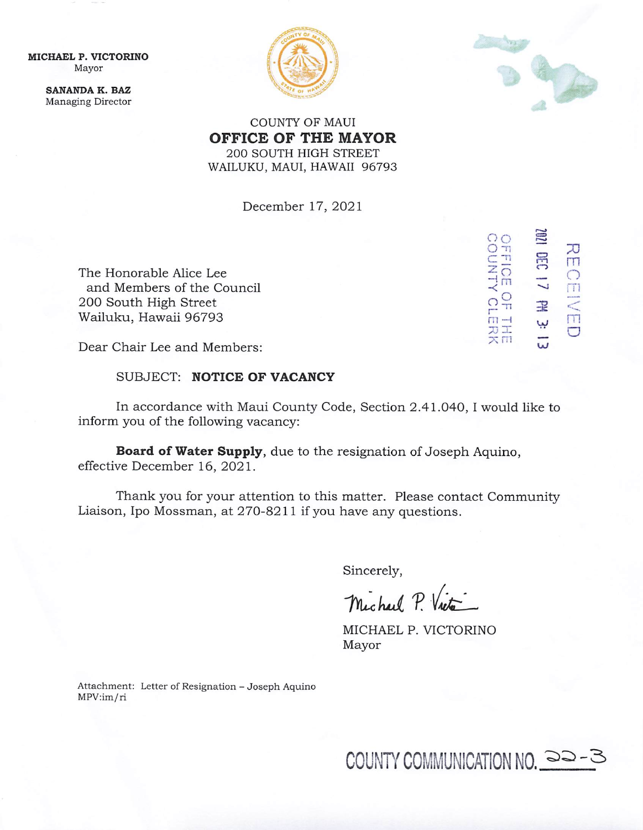MICHAEL P. VICTORINO Mayor

> SANANDA K. BAZ Managing Director





 $20$  $\breve{\circ}$ 

A1NN

**FFIOI** 

m<br>O<sub>H</sub>

7j ~ rn

 $\sum_{T=0}^{N}$ 

cz?

 $m \pm 1$  W. The  $m$ 

3<br>-<br>-<br>- $\ddot{\circ}$ 

COUNTY OF MAUI OFFICE OF THE MAYOR 200 SOUTH HIGH STREET WAILUKU, MAUI, HAWAII 96793

December 17, 2021

The Honorable Alice Lee and Members of the Council 200 South High Street Wailuku, Hawaii 96793

Dear Chair Lee and Members:

SUBJECT: NOTICE OF VACANCY

In accordance with Maui County Code, Section 2.41.040, I would like to inform you of the following vacancy:

Board of Water Supply, due to the resignation of Joseph Aquino, effective December 16, 2021.

Thank you for your attention to this matter. Please contact Community Liaison, Ipo Mossman, at 270-8211 if you have any questions.

Sincerely,

Michael P. Victo

MICHAEL P. VICTORINO Mayor

Attachment: Letter of Resignation - Joseph Aquino MPV:im/ri

COUNTY COMMUNICATION NO.  $\Rightarrow$